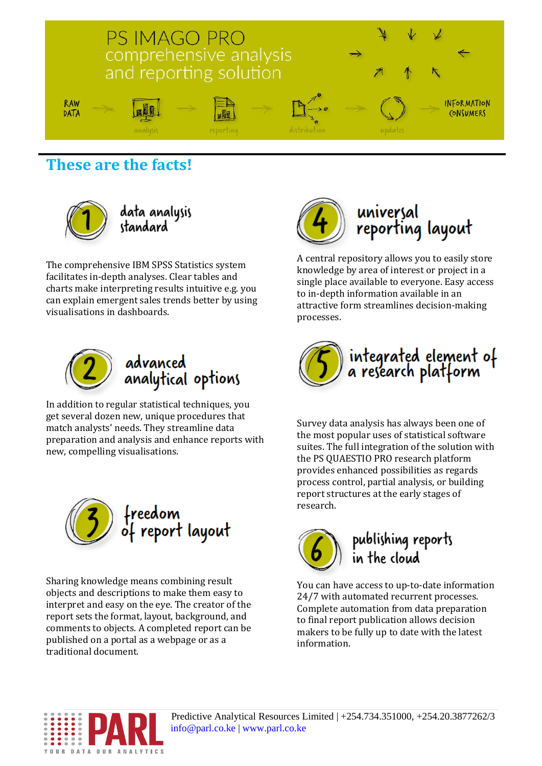

**These are the facts!**



data analysis<br>standard

The comprehensive IBM SPSS Statistics system facilitates in-depth analyses. Clear tables and charts make interpreting results intuitive e.g. you can explain emergent sales trends better by using visualisations in dashboards.



## advanced analytical options

In addition to regular statistical techniques, you get several dozen new, unique procedures that match analysts' needs. They streamline data preparation and analysis and enhance reports with new, compelling visualisations.



Sharing knowledge means combining result objects and descriptions to make them easy to interpret and easy on the eye. The creator of the report sets the format, layout, background, and comments to objects. A completed report can be published on a portal as a webpage or as a traditional document.



A central repository allows you to easily store knowledge by area of interest or project in a single place available to everyone. Easy access to in-depth information available in an attractive form streamlines decision-making processes.



Survey data analysis has always been one of the most popular uses of statistical software suites. The full integration of the solution with the PS QUAESTIO PRO research platform provides enhanced possibilities as regards process control, partial analysis, or building report structures at the early stages of research.



publishing reports<br>in the cloud

You can have access to up-to-date information 24/7 with automated recurrent processes. Complete automation from data preparation to final report publication allows decision makers to be fully up to date with the latest information.